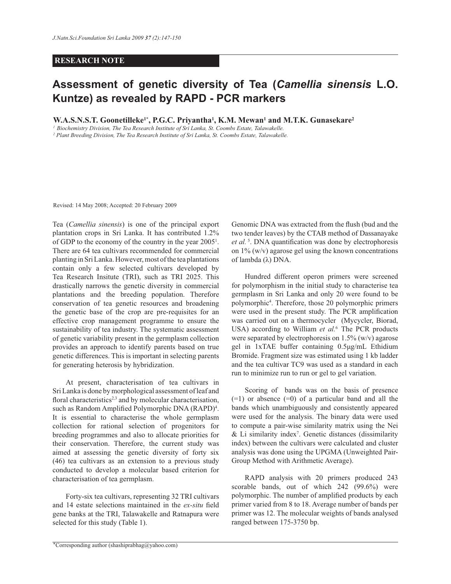## **RESEARCH NOTE**

## **Assessment of genetic diversity of Tea (***Camellia sinensis* **L.O. Kuntze) as revealed by RAPD - PCR markers**

**W.A.S.N.S.T. Goonetilleke1\*, P.G.C. Priyantha<sup>1</sup> , K.M. Mewan<sup>1</sup> and M.T.K. Gunasekare<sup>2</sup>**

*1 Biochemistry Division, The Tea Research Institute of Sri Lanka, St. Coombs Estate, Talawakelle.* 

*2 Plant Breeding Division, The Tea Research Institute of Sri Lanka, St. Coombs Estate, Talawakelle.*

Revised: 14 May 2008; Accepted: 20 February 2009

Tea (*Camellia sinensis*) is one of the principal export plantation crops in Sri Lanka. It has contributed 1.2% of GDP to the economy of the country in the year 2005<sup>1</sup> . There are 64 tea cultivars recommended for commercial planting in Sri Lanka. However, most of the tea plantations contain only a few selected cultivars developed by Tea Research Insitute (TRI), such as TRI 2025. This drastically narrows the genetic diversity in commercial plantations and the breeding population. Therefore conservation of tea genetic resources and broadening the genetic base of the crop are pre-requisites for an effective crop management programme to ensure the sustainability of tea industry. The systematic assessment of genetic variability present in the germplasm collection provides an approach to identify parents based on true genetic differences. This is important in selecting parents for generating heterosis by hybridization.

 At present, characterisation of tea cultivars in Sri Lanka is done by morphological assessment of leaf and floral characteristics<sup>2,3</sup> and by molecular characterisation, such as Random Amplified Polymorphic DNA (RAPD)<sup>4</sup>. It is essential to characterise the whole germplasm collection for rational selection of progenitors for breeding programmes and also to allocate priorities for their conservation. Therefore, the current study was aimed at assessing the genetic diversity of forty six (46) tea cultivars as an extension to a previous study conducted to develop a molecular based criterion for characterisation of tea germplasm.

 Forty-six tea cultivars, representing 32 TRI cultivars and 14 estate selections maintained in the *ex-situ* field gene banks at the TRI, Talawakelle and Ratnapura were selected for this study (Table 1).

Genomic DNA was extracted from the flush (bud and the two tender leaves) by the CTAB method of Dassanayake *et al.*<sup>5</sup>. DNA quantification was done by electrophoresis on  $1\%$  (w/v) agarose gel using the known concentrations of lambda (λ) DNA.

 Hundred different operon primers were screened for polymorphism in the initial study to characterise tea germplasm in Sri Lanka and only 20 were found to be polymorphic<sup>4</sup> . Therefore, those 20 polymorphic primers were used in the present study. The PCR amplification was carried out on a thermocycler (Mycycler, Biorad, USA) according to William *et al.*<sup>6</sup> The PCR products were separated by electrophoresis on  $1.5\%$  (w/v) agarose gel in 1xTAE buffer containing 0.5μg/mL Ethidium Bromide. Fragment size was estimated using 1 kb ladder and the tea cultivar TC9 was used as a standard in each run to minimize run to run or gel to gel variation.

 Scoring of bands was on the basis of presence  $(=1)$  or absence  $(=0)$  of a particular band and all the bands which unambiguously and consistently appeared were used for the analysis. The binary data were used to compute a pair-wise similarity matrix using the Nei  $&$  Li similarity index<sup>7</sup>. Genetic distances (dissimilarity index) between the cultivars were calculated and cluster analysis was done using the UPGMA (Unweighted Pair-Group Method with Arithmetic Average).

 RAPD analysis with 20 primers produced 243 scorable bands, out of which 242 (99.6%) were polymorphic. The number of amplified products by each primer varied from 8 to 18. Average number of bands per primer was 12. The molecular weights of bands analysed ranged between 175-3750 bp.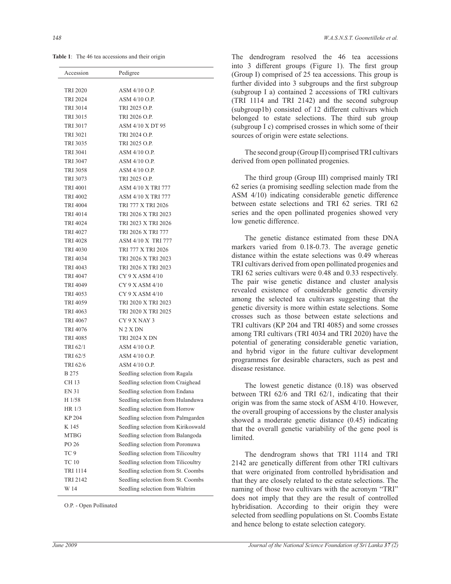**Table 1**: The 46 tea accessions and their origin

| Accession                          | Pedigree                                                                 |
|------------------------------------|--------------------------------------------------------------------------|
| TRI 2020                           | ASM 4/10 O.P.                                                            |
| <b>TRI 2024</b>                    | ASM 4/10 O.P.                                                            |
| <b>TRI 3014</b>                    | TRI 2025 O.P.                                                            |
| TRI 3015                           | TRI 2026 O.P.                                                            |
| TRI 3017                           | ASM 4/10 X DT 95                                                         |
| TRI 3021                           | TRI 2024 O.P.                                                            |
| TRI 3035                           | TRI 2025 O.P.                                                            |
| TRI 3041                           | ASM 4/10 O.P.                                                            |
| <b>TRI 3047</b>                    | ASM 4/10 O.P.                                                            |
| TRI 3058                           | ASM 4/10 O.P.                                                            |
| TRI 3073                           | TRI 2025 O.P.                                                            |
| TRI 4001                           | <b>ASM 4/10 X TRI 777</b>                                                |
| TRI 4002                           | <b>ASM 4/10 X TRI 777</b>                                                |
| TRI 4004                           | TRI 777 X TRI 2026                                                       |
| TRI 4014                           | TRI 2026 X TRI 2023                                                      |
| TRI 4024                           | TRI 2023 X TRI 2026                                                      |
| TRI 4027                           | TRI 2026 X TRI 777                                                       |
| <b>TRI 4028</b>                    | ASM 4/10 X TRI 777                                                       |
| TRI 4030                           | TRI 777 X TRI 2026                                                       |
| TRI 4034                           | TRI 2026 X TRI 2023                                                      |
| TRI 4043                           | TRI 2026 X TRI 2023                                                      |
| TRI 4047                           | $CY9X$ ASM $4/10$                                                        |
| TRI 4049                           | $CY$ 9 X ASM $4/10$                                                      |
| TRI 4053                           | $CY$ 9 X ASM $4/10$                                                      |
| TRI 4059                           | TRI 2020 X TRI 2023                                                      |
| TRI 4063                           | TRI 2020 X TRI 2025                                                      |
| TRI 4067                           | CY 9 X NAY 3                                                             |
| TRI 4076                           | N 2 X DN                                                                 |
| TRI 4085                           | <b>TRI 2024 X DN</b>                                                     |
| TRI 62/1                           | ASM 4/10 O.P.                                                            |
| TRI 62/5                           | ASM 4/10 O.P.                                                            |
| TRI 62/6                           | ASM 4/10 O.P.                                                            |
| B 275                              | Seedling selection from Ragala                                           |
| CH 13                              | Seedling selection from Craighead                                        |
| EN 31                              | Seedling selection from Endana                                           |
| H 1/58                             | Seedling selection from Hulanduwa                                        |
| HR 1/3                             | Seedling selection from Horrow                                           |
| KP 204                             | Seedling selection from Palmgarden                                       |
| K 145                              | Seedling selection from Kirikoswald                                      |
| <b>MTBG</b>                        | Seedling selection from Balangoda                                        |
| PO 26                              | Seedling selection from Poronuwa                                         |
| TC <sub>9</sub>                    | Seedling selection from Tilicoultry                                      |
| <b>TC 10</b>                       | Seedling selection from Tilicoultry                                      |
| <b>TRI 1114</b><br><b>TRI 2142</b> | Seedling selection from St. Coombs<br>Seedling selection from St. Coombs |
| W 14                               | Seedling selection from Waltrim                                          |
|                                    |                                                                          |

O.P. - Open Pollinated

The dendrogram resolved the 46 tea accessions into 3 different groups (Figure 1). The first group (Group I) comprised of 25 tea accessions. This group is further divided into 3 subgroups and the first subgroup (subgroup I a) contained 2 accessions of TRI cultivars (TRI 1114 and TRI 2142) and the second subgroup (subgroup1b) consisted of 12 different cultivars which belonged to estate selections. The third sub group (subgroup I c) comprised crosses in which some of their sources of origin were estate selections.

 The second group (Group II) comprised TRI cultivars derived from open pollinated progenies.

 The third group (Group III) comprised mainly TRI 62 series (a promising seedling selection made from the ASM 4/10) indicating considerable genetic difference between estate selections and TRI 62 series. TRI 62 series and the open pollinated progenies showed very low genetic difference.

 The genetic distance estimated from these DNA markers varied from 0.18-0.73. The average genetic distance within the estate selections was 0.49 whereas TRI cultivars derived from open pollinated progenies and TRI 62 series cultivars were 0.48 and 0.33 respectively. The pair wise genetic distance and cluster analysis revealed existence of considerable genetic diversity among the selected tea cultivars suggesting that the genetic diversity is more within estate selections. Some crosses such as those between estate selections and TRI cultivars (KP 204 and TRI 4085) and some crosses among TRI cultivars (TRI 4034 and TRI 2020) have the potential of generating considerable genetic variation, and hybrid vigor in the future cultivar development programmes for desirable characters, such as pest and disease resistance.

 The lowest genetic distance (0.18) was observed between TRI 62/6 and TRI 62/1, indicating that their origin was from the same stock of ASM 4/10. However, the overall grouping of accessions by the cluster analysis showed a moderate genetic distance (0.45) indicating that the overall genetic variability of the gene pool is limited.

 The dendrogram shows that TRI 1114 and TRI 2142 are genetically different from other TRI cultivars that were originated from controlled hybridisation and that they are closely related to the estate selections. The naming of those two cultivars with the acronym "TRI" does not imply that they are the result of controlled hybridisation. According to their origin they were selected from seedling populations on St. Coombs Estate and hence belong to estate selection category.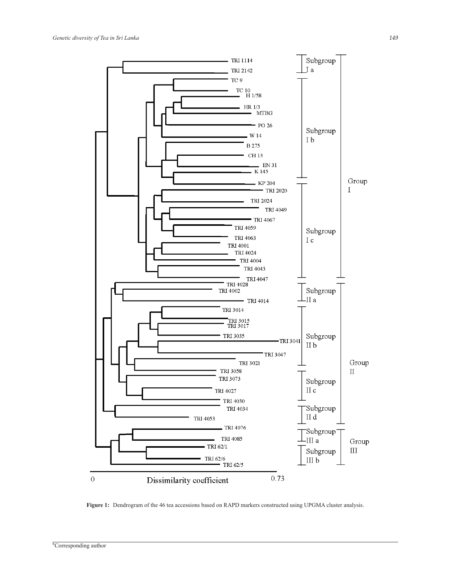

**Figure 1:** Dendrogram of the 46 tea accessions based on RAPD markers constructed using UPGMA cluster analysis.